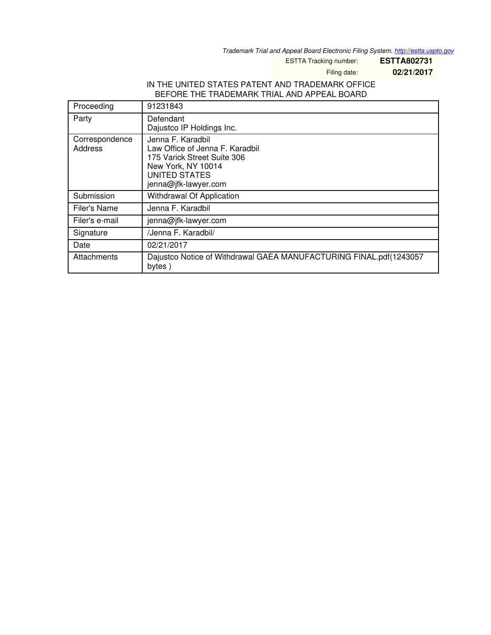*Trademark Trial and Appeal Board Electronic Filing System. <http://estta.uspto.gov>*

ESTTA Tracking number: **ESTTA802731**

Filing date: **02/21/2017**

## IN THE UNITED STATES PATENT AND TRADEMARK OFFICE BEFORE THE TRADEMARK TRIAL AND APPEAL BOARD

| Proceeding                | 91231843                                                                                                                                                  |
|---------------------------|-----------------------------------------------------------------------------------------------------------------------------------------------------------|
| Party                     | Defendant<br>Dajustco IP Holdings Inc.                                                                                                                    |
| Correspondence<br>Address | Jenna F. Karadbil<br>Law Office of Jenna F. Karadbil<br>175 Varick Street Suite 306<br>New York, NY 10014<br><b>UNITED STATES</b><br>jenna@jfk-lawyer.com |
| Submission                | Withdrawal Of Application                                                                                                                                 |
| Filer's Name              | Jenna F. Karadbil                                                                                                                                         |
| Filer's e-mail            | jenna@jfk-lawyer.com                                                                                                                                      |
| Signature                 | /Jenna F. Karadbil/                                                                                                                                       |
| Date                      | 02/21/2017                                                                                                                                                |
| Attachments               | Dajustco Notice of Withdrawal GAEA MANUFACTURING FINAL.pdf(1243057<br>bytes)                                                                              |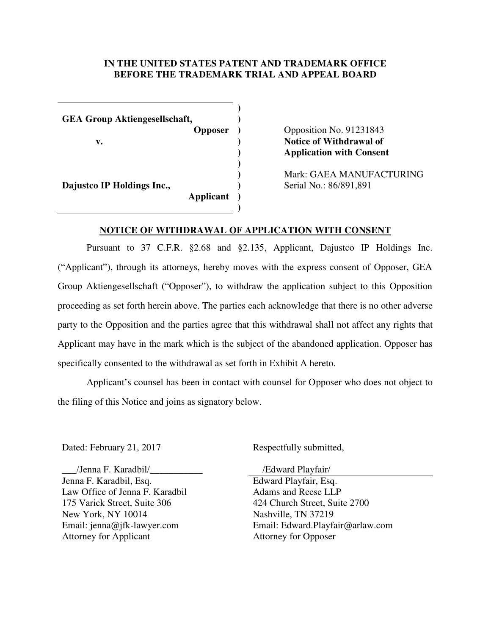## **IN THE UNITED STATES PATENT AND TRADEMARK OFFICE BEFORE THE TRADEMARK TRIAL AND APPEAL BOARD**

**) GEA Group Aktiengesellschaft, ) v. ) Notice of Withdrawal of ) Dajustco IP Holdings Inc.,** (a) Serial No.: 86/891,891 **Applicant ) )**

**Opposer )** Opposition No. 91231843 **) Application with Consent**

**)** Mark: GAEA MANUFACTURING

## **NOTICE OF WITHDRAWAL OF APPLICATION WITH CONSENT**

Pursuant to 37 C.F.R. §2.68 and §2.135, Applicant, Dajustco IP Holdings Inc. ("Applicant"), through its attorneys, hereby moves with the express consent of Opposer, GEA Group Aktiengesellschaft ("Opposer"), to withdraw the application subject to this Opposition proceeding as set forth herein above. The parties each acknowledge that there is no other adverse party to the Opposition and the parties agree that this withdrawal shall not affect any rights that Applicant may have in the mark which is the subject of the abandoned application. Opposer has specifically consented to the withdrawal as set forth in Exhibit A hereto.

Applicant's counsel has been in contact with counsel for Opposer who does not object to the filing of this Notice and joins as signatory below.

Dated: February 21, 2017

\_\_\_/Jenna F. Karadbil/\_\_\_\_\_\_\_\_\_\_\_ Jenna F. Karadbil, Esq. Law Office of Jenna F. Karadbil 175 Varick Street, Suite 306 New York, NY 10014 Email: jenna@jfk-lawyer.com Attorney for Applicant

Respectfully submitted,

/Edward Playfair/

Edward Playfair, Esq. Adams and Reese LLP 424 Church Street, Suite 2700 Nashville, TN 37219 Email: Edward.Playfair@arlaw.com Attorney for Opposer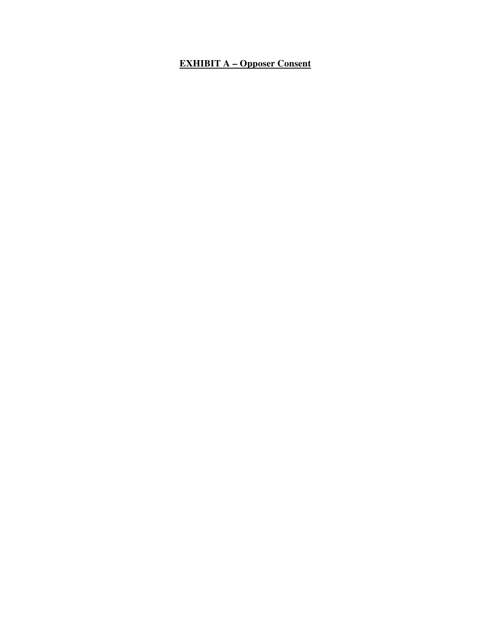# **EXHIBIT A - Opposer Consent**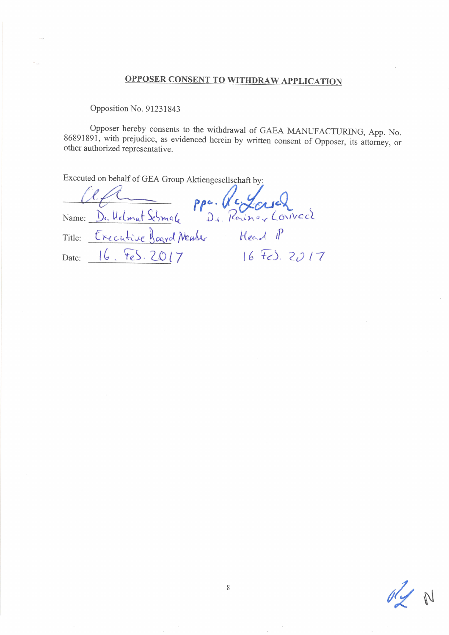# **OPPOSER CONSENT TO WITHDRAW APPLICATION**

Opposition No. 91231843

Opposer hereby consents to the withdrawal of GAEA MANUFACTURING, App. No. 86891891, with prejudice, as evidenced herein by written consent of Opposer, its attorney, or other authorized representative.

Executed on behalf of GEA Group Aktiengesellschaft by:

Name: D. Helmat Schmale Ppe. Renderse Louved Title: Executive Jagrel Member Head P Date: 16. Fes. 2017 16 Fes. 2017